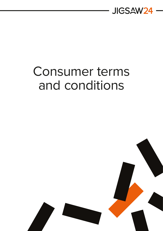

# Consumer terms and conditions

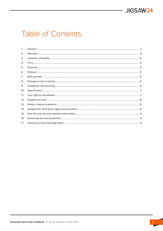

### **Table of Contents**

| $\mathbf{1}$ . |  |
|----------------|--|
| 2.             |  |
| 3.             |  |
| 4.             |  |
| 5.             |  |
| 6.             |  |
| 7.             |  |
| 8.             |  |
| 9.             |  |
| 10.            |  |
| 11.            |  |
| 12.            |  |
| 13.            |  |
| 14.            |  |
| 15.            |  |
| 16.            |  |
| 17.            |  |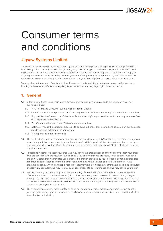## <span id="page-2-0"></span>Consumer terms and conditions

#### **Jigsaw Systems Limited**

These are the terms and conditions of sale of Jigsaw Systems Limited (Trading as Jigsaw24) whose registered office is at 40 High Church Street, New Basford, Nottingham, NG7 7JA (registered with company number 2682904 and registered for VAT purposes with number 610706674 ("we" or "us" or "our" or "Jigsaw"). These terms will apply to all your purchases of Goods, including whether you are ordering online, by telephone or by mail. Please read this document carefully after printing it off or downloading it (if you are using the internet) before placing your order.

We may change these terms from time to time. Please read and check them before you make another purchase. Nothing in these terms affects your legal rights. A summary of your key legal rights is set out below.

#### **1. General**

- **1.1** In these conditions:"Consumer" means any customer who is purchasing outside the course of his or her business or trade;
	- 1.1.1 "You" means the Consumer submitting an order for Goods;
	- 1.1.2 "Goods" means the computer and/or other equipment and Software to be supplied under these conditions;
	- 1.1.3 "Support Services" means the 'Collect and Return Warranty' support services which you may purchase from us in respect of certain Goods;
	- 1.1.4 "Party" means either you or us; "Parties" means you and us;
	- 1.1.5 "Software" means the computer programs to be supplied under these conditions as stated on our quotation or order acknowledgement, as appropriate.
	- 1.1.6 "Writing" means letter, fax or email.
- **1.2** The contract for supply of Goods and any Support Services (if applicable) ("Contract") will be formed when you accept our quotation or we accept your order and confirm this to you in Writing. Acceptance of an order by us can only be made in Writing. Once the Contract has been formed with you, we will file it in electronic or paper copy for our records.
- **1.3** In deciding whether to accept your order, we may carry out a credit check and then will only accept your order if we are satisfied with the results of such a check. You confirm that you are happy for us to carry out such a check. You agree that we may also use personal information provided by you in order to conduct appropriate anti-fraud checks. Personal Information that you provide may be disclosed to a credit reference or fraud prevention agency, which may keep a record of that information. If we identify a transaction as being fraudulent or potentially fraudulent, we may return any Goods in transit to our warehouse and we may cancel your order.
- **1.4** We may cancel your order at any time due to error (e.g. if the details of the price, description or availability of Goods you have ordered are incorrect). In such an instance, you will receive a full refund of any charges already paid. If we are unable to accept your order, we will inform you of this and will not charge you. This may be because the item is out of stock, we have identified an error in the price or description or we cannot meet a delivery deadline you have specified.
- **1.5** These conditions and any matters referred to on our quotation or order acknowledgement (as appropriate) form the entire understanding between you and us and supersede any prior promises, representations (unless fraudulent) or undertakings.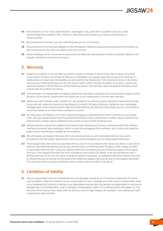- <span id="page-3-0"></span>**1.6** Any omission or error in any sales literature, web page or site, order form, quotation, price list, order acknowledgement, dispatch note, invoice or other document issued by us may be corrected by us without liability.
- **1.7** By accepting the Contract, you are confirming that you are a Consumer.
- **1.8** The provisions of the Contracts (Rights of Third Parties) Act 1999 are expressly excluded from the Contract so that no third party may claim any rights under this contract.
- **1.9** Clause headings ar[e for convenience only and do not affect the interpretati](https://www.jigsaw24.com/support-contract-terms-and-conditions)on of these conditions. Words in the singular include the plural and vice versa.

#### **2. Warranty**

- **2.1** Subject to condition 11, we will offer you either a repair, exchange or refund if your item is faulty, if the fault occurs within 30 days of purchase (or delivery or installation by a Jigsaw appointed engineer/contractor). If replacement or repairs are not possible, we will examine the Goods and, if the Goods are faulty or do not do what we say in Writing that they will do, will, at your option, either remedy the defect in question, replace the defective Goods or refund the price of the defective Goods. This warranty does not apply to Software, which is dealt with at condition 2.5, below.
- **2.2** The warranty in 2.1 above does not apply to faults that have been caused by your misuse and/or neglect of the Goods or by accidents caused while the Goods are in your possession or normal wear and tear.
- **2.3** Where you return Goods under condition 2.1, we will pay for the delivery of any repaired or replacement Goods to you and will, where you have returned Goods to us within 30 days of delivery, reimburse your reasonable postage costs in returning the Goods. We will not be liable for any delivery costs where you are not entitled to return the Goods to us under these conditions or by law.
- **2.4** You must return all Goods to us in their original packaging in substantially the same condition as you bought them, and you should ensure that all returned Goods bear a return identification number clearly visible on the exterior (such number may be obtained from us prior to return of the Goods by you).
- **2.5** Software (and its use) will be subject to the terms of the manufacturer's licence contained within the software itself (and accessed upon loading) or within or upon the packaging of the software. Such licence will state the extent of the manufacturer's liability for the software.
- **2.6** We will supply any Support Services which you purchase from us with reasonable skill and care and in accordance with the written specification which we have provided to you for those Support Services.
- **2.7** If the Support Services which you purchase from us are not in accordance with clause 2.6, above, or do not do what we say in Writing that they will do, you should notify us in Writing within 30 days of their supply or within a reasonable time from their supply for defects which are not apparent to you following supply of the Support Services. If the Support Services are not in compliance with clause 2.6, above, or do not do what we say in Writing that they will do, we will, either remedy the defect in question, re-supply the defective Support Services or refund the price (or the part of the price) of the defective Support Services (or part or the Support Services). This warranty does not apply to Software, which is dealt with at condition 2.5, above.

#### **3. Limitation of liability**

**3.1** We are responsible to you for foreseeable loss and damage caused by us. If we fail to comply with the terms and conditions under this Contract, we are responsible for loss or damage you suffer that is a foreseeable result of our breaking this Contract or failing to use reasonable care and skill, but we are not responsible for any loss or damage that is not foreseeable. Loss or damage is foreseeable if either if it is obvious that it will happen or if, at the time of the Contract was made, both we and you knew it might happen, for example, if you discussed it with us during the sales process.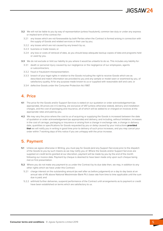- <span id="page-4-0"></span>**3.2** We will not be liable to you by way of representation (unless fraudulent), common law duty or under any express or implied term of the contract for:
	- 3.2.1 any losses which are not foreseeable by both Parties when the Contract is formed arising in connection with the supply of Goods and related services or their use by you;
	- 3.2.2 any losses which are not caused by any breach by us;
	- 3.2.3 business or trade losses; or
	- 3.2.4 any loss or costs of retrieval of data, as you should keep adequate backup copies of data and programs held or used by you.
- **3.3** We do not exclude or limit our liability to you where it would be unlawful to do so. This includes any liability for:
	- 3.3.1 death or personal injury caused by our negligence or the negligence of our employees, agents or subcontractors;
	- 3.3.2 fraud or fraudulent misrepresentation;
	- 3.3.3 breach of your legal rights in relation to the Goods including the right to receive Goods which are as described and match information we provided to you and any sample or model seen or examined by you, of satisfactory quality, fit for any purpose made known to us or supplied with reasonable skill and care; or
	- 3.3.4 defective Goods under the Consumer Protection Act 1987.

#### **4. Price**

- **4.1** The price for the Goods and/or Support Services is stated on our quotation or order acknowledgement (as appropriate). All prices are in £ sterling, are exclusive of VAT (unless otherwise stated), delivery and installation charges, and the cost of packaging and insurance, all of which will be added to or charged on invoices at the appropriate rates and paid by you.
- **4.2** We may vary the price where the cost to us of acquiring or supplying the Goods is increased between the date of quotation or order acknowledgement (as appropriate) and delivery, and including, without limitation, increases in the cost of carriage, packaging or insurance or arising from a change in exchange rate, a change in delivery date, quantities or specifications for Goods requested by you or delay caused by your instructions **provided that** we will notify you in writing in good time prior to delivery of such price increases, and you may cancel your order within 7 working days of this notice if you are unhappy with the price increase.

#### **5. Payment**

- **5.1** Unless we agree otherwise in Writing, you must pay for Goods (and any Support Services) prior to the dispatch of the Goods to you by such means as we may notify you of. Where the Goods and/or Support Services are supplied on credit terms granted at our discretion, payment will be made by you by the end of the month following our invoice date. Payment by cheque is deemed to have been made only upon such cheque being met on first presentation.
- **5.2** Where you do not make any payment to us under the Contract by its due date then, we may, in addition to any other rights which we have under this Contract:
	- 5.2.1 charge interest on the outstanding amount (as well after as before judgement) on a day to day basis at an annual rate of 4% above National Westminster Bank Plc's base rate from time to time applicable until the sum due is paid; and
	- 5.2.2 withhold further deliveries, suspend performance of the Contract until arrangements as to payment or credit have been established on terms which are satisfactory to us.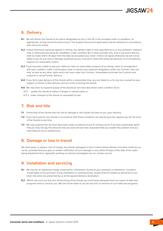#### <span id="page-5-0"></span>**6. Delivery**

- **6.1** We will deliver the Goods to the place designated by you in the UK in the accepted order or quotation, as appropriate, during normal business hours. The Support Services (if applicable) shall be delivered in accordance with clause 12, below.
- **6.2** Unless otherwise expressly agreed in writing, any delivery date or time specified by us in any quotation, dispatch note or otherwise (including for installation under condition 9) is a best estimate only, and in any event delivery shall be made within 30 days from the date we accepted your order. Unless we agree otherwise we will not be liable to you for any loss or damage sustained by you if we fail to meet that timescale because of circumstances beyond our reasonable control.
- **6.3** If you become unable to pay your debts (or have no reasonable prospect of so doing), make an arrangement with your creditors, suffer a bankruptcy order or breach your payment obligations under the Contract, then we may, as well as any other rights which we have under this Contract, immediately terminate the Contract and suspend or cancel further delivery.
- **6.4** If you fail to take delivery of the Goods within a reasonable time, you are liable to us for any loss caused by your neglect or failure to take delivery and our costs of storing the Goods.
- **6.5** We may have to suspend supply of the Goods (or services described under condition 12) to:
	- 6.5.1 update the Goods to reflect changes in relevant laws; or
	- 6.5.2 make changes to the Goods as requested by law.

#### **7. Risk and title**

- **7.1** Ownership of the Goods and the risk for damage to the Goods will pass to you upon delivery.
- **7.2** If you fail to pay for any Goods in accordance with these conditions we may bring action against you for the price of the Goods at any time.
- **7.3** We may suspend the services described under conditions 9 and 12 of these terms if we have reasonable belief that you may not pay the amounts that you owe and we have requested that you explain the position and you have failed to do so satisfactorily.

#### **8. Damage or loss in transit**

We shall repair or replace, free of charge, any Goods damaged or lost in transit where delivery has been made by our carrier, provided that you give us written notification of such damage or loss within 14 days of the date of the order being dispatched from Jigsaw24, pending an internal investigation by our chosen courier.

#### **9. Installation and servicing**

- **9.1** We may for an additional charge install and/or commission Goods at your premises or elsewhere. Condition 3 shall apply to the provision of any installation or commissioning. Goods shall be treated as delivered to you when the same are presented by us at the agreed delivery destination.
- **9.2** Where we carry out any one-off servicing of the Goods you must keep adequate back-up copies of data and programs held or used by you. We will not be liable to you for any loss or retrieval of such data and programs.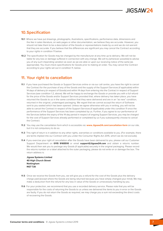#### <span id="page-6-0"></span>**10.Specification**

- **10.1** Where we have put drawings, photographs, illustrations, specifications, performance data, dimensions and the like in sales literature, on web pages or other documentation, we believe they are accurate. However, you should not take them to be a description of the Goods or representations made by us and we do not warrant that they are accurate. If you believe that the differences are significant you may cancel the Contract according to your rights in condition 11 below.
- **10.2** The specification for Goods may be changed by the manufacturer at any time up to delivery. We will not be liable for any loss or damage suffered in connection with any change. We will try (wherever possible) to advise you of any such impending variation as soon as we are able or upon our receiving notice of the same (as appropriate). You must check specifications for Goods prior to making an order. You may cancel the Contract according to your rights set out in condition 11, below.

#### **11. Your right to cancellation**

- **11.1** If you have purchased the Goods or Support Services online or via our call centre, you have the right to cancel the Contract for the purchase of any of the Goods and the supply of the Support Services (if applicable) within 14 days of delivery (in respect of Goods) and within 14 days from entering into the Contract in respect of Support Services (see condition 1.2, above). We will be happy to exchange the Goods or provide you with a full refund for the price of the Goods and/or Support Services provided that, where delivery has taken place, you have returned the Goods to us in the same condition that they were delivered and are in an "as new" condition, returned in the original, undamaged packaging. We regret that we cannot accept the return of Software sent to you sealed which has been opened. Unless we agree otherwise with you in writing, you will not be able to cancel the Contract in respect of the Support Services (if applicable) under this condition 11 once the performance of the Support Services has been completed by us. Further, if you agree to our performance of the Services before the expiry of the 14 day period in respect of ongoing Support Services, you may be charged for the cost of Support Services already performed or completed by us if you subsequently choose to cancel the Contract.
- **11.2** You may use the cancellation form which is accessible via: **www.Jigsaw24.com/cancellation-form** on our site, but it is not compulsory to do so.
- **11.3** This right of return is in addition to any other rights, warranties or conditions available to you. (For example, there are terms implied into our Contract with you under the Consumer Rights Act 2015, which we do not exclude).
- **11.4** If you exercise your right of cancellation after the Goods have been delivered to you, please call our Customer Support Department on **0115 9165510** or email **support**@**Jigsaw24.com** and obtain a returns number. We would then ask you to package any Goods (if applicable) securely in the original packaging. Please record the returns number on a label attached to the outer packaging, please do not write on or damage the box. The return address is:

**Jigsaw Systems Limited 40 High Church Street Nottingham NG7 7JA**

- **11.5** Once we receive the Goods from you, we will give you a refund for the cost of the Goods plus the delivery charge paid (except where the Goods are being returned because you have simply changed your mind). We may make a deduction from the refund for any loss in value of the Goods or unnecessary handling by you.
- **11.6** For your protection, we recommend that you use a recorded delivery service. Please note that you will be responsible for the costs of returning the Goods to us unless we delivered the items to you in error or the Goods are faulty. If you do not return the Goods as required, we may charge you a sum not exceeding the direct costs of recovering the Goods.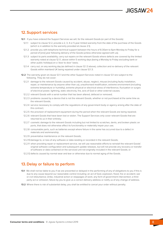#### <span id="page-7-0"></span>**12.Support services**

- **12.1** If you have ordered the Support Services we will, for the relevant Goods (or part of the Goods):
	- 12.1.1 subject to clause 12.2, provide a 2, 3, 4 or 5 year limited warranty from the date of the purchase of the Goods (which is in addition to the warranty provided at clause 2.1);
	- 12.1.2 provide you with telephone technical support between the hours of 8.30am to 6pm Monday to Friday for a period of [one] year following delivery of the Goods (unless otherwise agreed with us);
	- 12.1.3 subject to parts availability, carry out repairs on the relevant Goods where defects are covered by the limited warranty noted at clause 12.1.1, above within 5 working days (being a Monday to Friday excluding bank or other public holidays) on a 'door to door' basis;
	- 12.1.4 carry out, on any working day (as defined in clause 12.1.3 above), collection and re-delivery of the relevant Goods within mainland UK being repaired under clause 12.1.3.
- **12.2** The warranty given at clause 12.1.1 and the other Support Services noted in clause 12.1 are subject to the following. They do not cover:
	- 12.2.1 damage to the relevant Goods caused by accident, abuse, neglect, misuse (including faulty installation, repair, or maintenance by anyone other than us), unauthorised modification, extreme environment (including extreme temperature or humidity), extreme physical or electrical stress of interference, fluctuation or surges of electrical power, lightning, static electricity, fire, acts of God or other external causes;
	- 12.2.2 relevant Goods with a serial number that has been altered, defaced or removed;
	- 12.2.3 problems caused by a device that is not the relevant Goods, whether or not purchased at the same time as the relevant Goods;
	- 12.2.4 service necessary to comply with the regulations of any government body or agency arising after the date of this contract;
	- 12.2.5 the provision of replacement equipment during the period when the relevant Goods are being repaired;
	- 12.2.6 relevant Goods that have been lost or stolen. The Support Services only cover relevant Goods that are returned to us in their entirety;
	- 12.2.7 cosmetic damage to the relevant Goods including but not limited to scratches, dents, and broken plastic on ports, that does not otherwise affect its functionality or materially impair your use;
	- 12.2.8 consumable parts, such as batteries except where failure in the same has occurred due to a defect in materials and workmanship;
	- 12.2.9 preventative maintenance on the relevant Goods;
	- 12.2.10damage to, or loss of any software or data residing or recorded in the relevant Goods;
	- 12.2.11 when providing repair or replacement service, we will use reasonable efforts to reinstall the relevant Goods' original software configuration and subsequent update releases, but will not provide any recovery or transfer of software or data contained on the serviced unit not originally included in the relevant Goods; or
	- 12.2.12 defects caused by normal wear and tear or otherwise due to normal aging of the Goods.

#### **13.Delay or failure to perform**

- **13.1** We shall not be liable to you if we are prevented or delayed in the performing of any of obligations to you if this is due to any cause beyond our reasonable control including: an act of God, explosion, flood, fire or accident; war or civil disturbance; strike, industrial action or stoppages of work; any form of government intervention; a third party act or omission; failure by you to give us a correct delivery address or notify us of any change of address.
- **13.2** Where there is risk of substantial delay, you shall be entitled to cancel your order without penalty.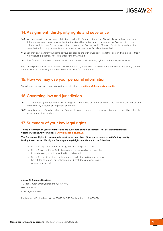#### <span id="page-8-0"></span>**14.Assignment, third-party rights and severance**

- **14.1** We may transfer our rights and obligations under this Contract at any time. We will always tell you in writing if this happens and we will ensure that the transfer will not affect your rights under the Contract. If you are unhappy with the transfer you may contact us to end the Contract within 30 days of us telling you about it and we will refund you any payments you have made in advance for Goods not provided.
- **14.2** You may only transfer your rights or your obligations under this Contract to another person if we agree to this in writing (such agreement not to be unreasonably withheld).
- **14.3** This Contract is between you and us. No other person shall have any rights to enforce any of its terms.

Each of the provisions of this Contract operates separately. If any court or relevant authority decides that any of them are unlawful, the remaining provisions will remain in full force and effect.

#### **15.How we may use your personal information**

We will only use your personal information as set out at: **www.Jigsaw24.com/privacy-notice**.

#### **16.Governing law and jurisdiction**

- **16.1** The Contract is governed by the laws of England and the English courts shall have the non-exclusive jurisdiction to resolve any disputes arising out of or under it.
- **16.2** No waiver by us of any breach of the Contract by y[ou is considered as a waiver of any su](https://www.jigsaw24.com/privacy-notice)bsequent breach of the same or any other provision.

#### **17. Summary of your key legal rights**

**This is a summary of your key rights and are subject to certain exceptions. For detailed information, visit the Citizens Advice website: www.adviceguide.org.uk.**

**The Consumer Rights Act says goods must be as described, fit for purpose and of satisfactory quality. During the expected life of your Goods your legal rights entitle you to the following:**

- Up to 30 days: if your item is faulty, then you can get a refund;
- Up to 6 months: if your faulty item cannot be repaired or replaced then, in most cases, you will be entitled to a full refund;
- Up to 6 years: if the item can be expected to last up to 6 years you may be entitled to a repair or replacement or, if that does not work, some of your money back.

#### **Jigsaw24 Support Services:**

40 High Church Street, Nottingham, NG7 7JA. 03332 400 100 www.Jigsaw24.com

Registered in England and Wales 2682904. VAT Registration No. 610706674.